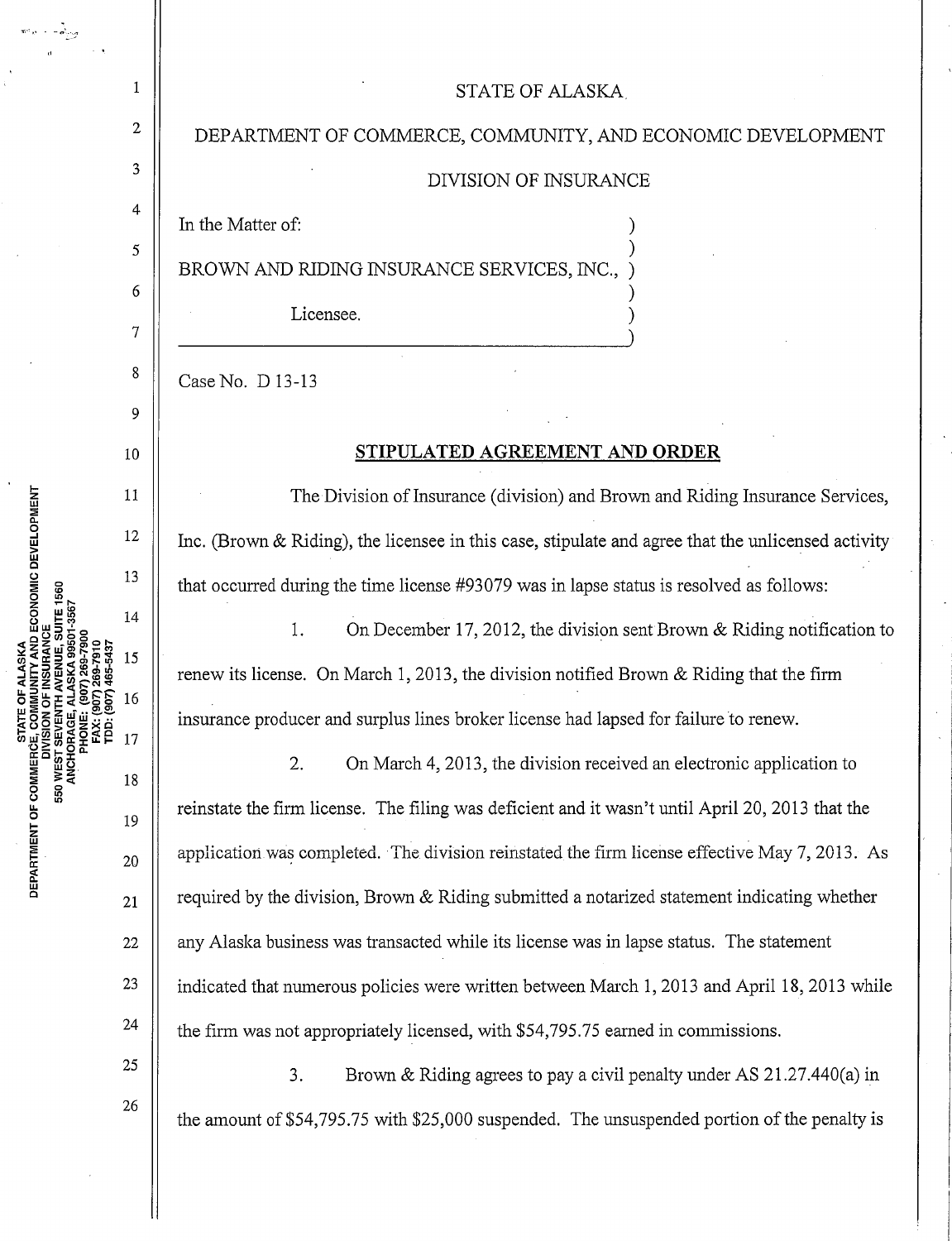## 1 || STATE OF ALASKA

 $2 \parallel$  DEPARTMENT OF COMMERCE, COMMUNITY, AND ECONOMIC DEVELOPMENT

## $\begin{array}{c|c}\n 3 & \n \end{array}$  DIVISION OF INSURANCE

In the Matter of:

4

7

9

11

12

13

14

15

16

17

 $\begin{array}{c|c|c|c|c} 5 & 1 & \end{array}$ BROWN AND RIDING INSURANCE SERVICES, INC., )

 $\begin{array}{c|c|c|c|c} \hline \multicolumn{1}{c|}{6} & & \multicolumn{1}{c|}{9} & \multicolumn{1}{c|}{9} & \multicolumn{1}{c|}{9} & \multicolumn{1}{c|}{9} & \multicolumn{1}{c|}{9} & \multicolumn{1}{c|}{9} & \multicolumn{1}{c|}{9} & \multicolumn{1}{c|}{9} & \multicolumn{1}{c|}{9} & \multicolumn{1}{c|}{9} & \multicolumn{1}{c|}{9} & \multicolumn{1}{c|}{9} & \multicolumn{1}{c|}{9} & \multicolumn{1}{c|}{9} & \multicolumn{1$ 

Licensee.

 $8 \parallel$  Case No. D 13-13

## 10 **STIPULATED AGREEMENT AND ORDER**

The Division of Insurance (division) and Brown and Riding Insurance Services, Inc. (Brown & Riding), the licensee in this case, stipulate and agree that the unlicensed activity that occurred during the time license #93079 was in lapse status is resolved as follows:

1. On December 17, 2012, the division sent Brown & Riding notification to renew its license. On March 1, 2013, the division notified Brown & Riding that the firm insurance producer and surplus lines broker license had lapsed for failure to renew.

2. On March 4, 2013, the division received an electronic application to reinstate the firm license. The filing was deficient and it wasn't until April 20, 2013 that the  $_{20}$  || application was completed. The division reinstated the firm license effective May 7, 2013. As  $_{21}$  | required by the division, Brown & Riding submitted a notarized statement indicating whether  $22$  || any Alaska business was transacted while its license was in lapse status. The statement <sup>23</sup> | indicated that numerous policies were written between March 1, 2013 and April 18, 2013 while <sup>24</sup>  $\parallel$  the firm was not appropriately licensed, with \$54,795.75 earned in commissions.

<sup>25</sup>  $\parallel$  3. Brown & Riding agrees to pay a civil penalty under AS 21.27.440(a) in the amount of \$54,795.75 with \$25,000 suspended. The unsuspended portion of the penalty is

JNITY AND ECONOMIC DEVELOPMENT ≥<br>ឆ្ល **b**<br>MENT<br>2 II: DEPZ<br>D

26

19

18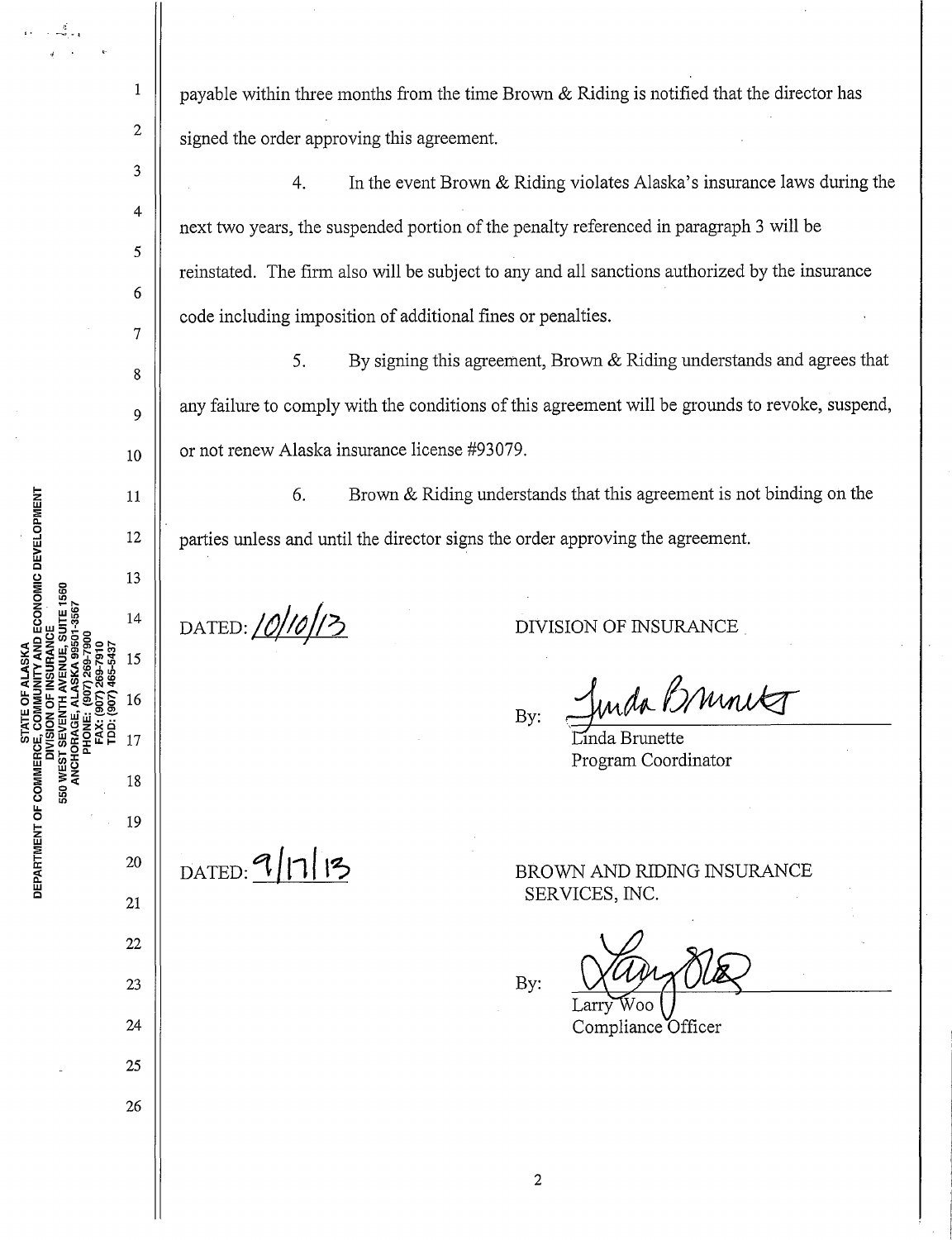payable within three months from the time Brown & Riding is notified that the director has signed the order approving this agreement.

4. In the event Brown & Riding violates Alaska's insurance laws during the next two years, the suspended portion of the penalty referenced in paragraph 3 will be reinstated. The firm also will be subject to any and all sanctions authorized by the insurance code including imposition of additional fines or penalties.

5. By signing this agreement, Brown  $&$  Riding understands and agrees that any failure to comply with the conditions of this agreement will be grounds to revoke, suspend, or not renew Alaska insurance license #93079.

6. Brown & Riding understands that this agreement is not binding on the parties unless and until the director signs the order approving the agreement.

DATED: 10/10/13

DIVISION OF INSURANCE

By: Junda Bruncks

Program Coordinator

 $DATED: 9/11/3$ 

MENT OF

**550 WEST** 

**COMMUNITY AND ECONOMIC DEVELOPMENT** 

•I ,

1

2

3

4

5

6

7

8

9

10

11

12

13

14

15

16

17

19

18

20

21

22

23

24

25

26

le <u>።</u> BROWN AND RIDING INSURANCE SERVICES, INC.

Compliance Officer

By: